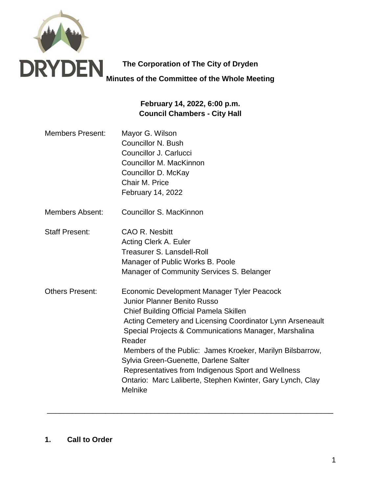

**The Corporation of The City of Dryden Minutes of the Committee of the Whole Meeting**

# **February 14, 2022, 6:00 p.m. Council Chambers - City Hall**

- Members Present: Mayor G. Wilson Councillor N. Bush Councillor J. Carlucci Councillor M. MacKinnon Councillor D. McKay Chair M. Price February 14, 2022
- Members Absent: Councillor S. MacKinnon
- Staff Present: CAO R. Nesbitt Acting Clerk A. Euler Treasurer S. Lansdell-Roll Manager of Public Works B. Poole Manager of Community Services S. Belanger
- Others Present: Economic Development Manager Tyler Peacock Junior Planner Benito Russo Chief Building Official Pamela Skillen Acting Cemetery and Licensing Coordinator Lynn Arseneault Special Projects & Communications Manager, Marshalina Reader Members of the Public: James Kroeker, Marilyn Bilsbarrow, Sylvia Green-Guenette, Darlene Salter Representatives from Indigenous Sport and Wellness Ontario: Marc Laliberte, Stephen Kwinter, Gary Lynch, Clay Melnike

\_\_\_\_\_\_\_\_\_\_\_\_\_\_\_\_\_\_\_\_\_\_\_\_\_\_\_\_\_\_\_\_\_\_\_\_\_\_\_\_\_\_\_\_\_\_\_\_\_\_\_\_\_\_\_\_\_\_\_\_\_\_\_\_\_\_\_\_\_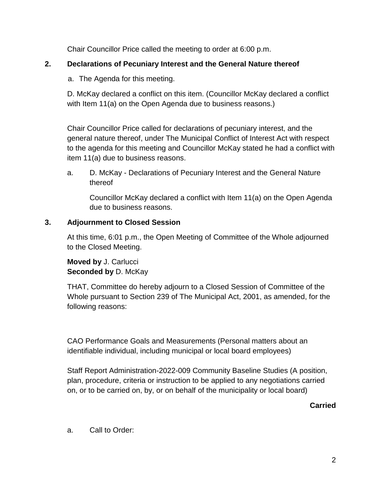Chair Councillor Price called the meeting to order at 6:00 p.m.

### **2. Declarations of Pecuniary Interest and the General Nature thereof**

a. The Agenda for this meeting.

D. McKay declared a conflict on this item. (Councillor McKay declared a conflict with Item 11(a) on the Open Agenda due to business reasons.)

Chair Councillor Price called for declarations of pecuniary interest, and the general nature thereof, under The Municipal Conflict of Interest Act with respect to the agenda for this meeting and Councillor McKay stated he had a conflict with item 11(a) due to business reasons.

a. D. McKay - Declarations of Pecuniary Interest and the General Nature thereof

Councillor McKay declared a conflict with Item 11(a) on the Open Agenda due to business reasons.

### **3. Adjournment to Closed Session**

At this time, 6:01 p.m., the Open Meeting of Committee of the Whole adjourned to the Closed Meeting.

**Moved by** J. Carlucci **Seconded by** D. McKay

THAT, Committee do hereby adjourn to a Closed Session of Committee of the Whole pursuant to Section 239 of The Municipal Act, 2001, as amended, for the following reasons:

CAO Performance Goals and Measurements (Personal matters about an identifiable individual, including municipal or local board employees)

Staff Report Administration-2022-009 Community Baseline Studies (A position, plan, procedure, criteria or instruction to be applied to any negotiations carried on, or to be carried on, by, or on behalf of the municipality or local board)

**Carried**

a. Call to Order: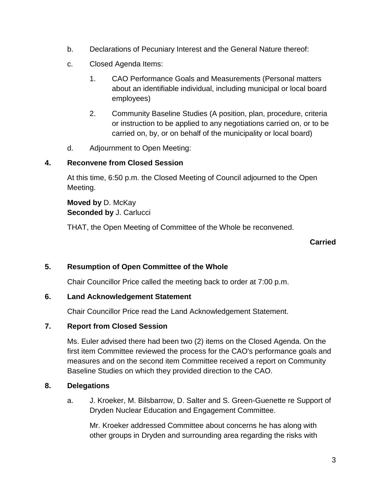- b. Declarations of Pecuniary Interest and the General Nature thereof:
- c. Closed Agenda Items:
	- 1. CAO Performance Goals and Measurements (Personal matters about an identifiable individual, including municipal or local board employees)
	- 2. Community Baseline Studies (A position, plan, procedure, criteria or instruction to be applied to any negotiations carried on, or to be carried on, by, or on behalf of the municipality or local board)
- d. Adjournment to Open Meeting:

### **4. Reconvene from Closed Session**

At this time, 6:50 p.m. the Closed Meeting of Council adjourned to the Open Meeting.

**Moved by** D. McKay **Seconded by** J. Carlucci

THAT, the Open Meeting of Committee of the Whole be reconvened.

#### **Carried**

# **5. Resumption of Open Committee of the Whole**

Chair Councillor Price called the meeting back to order at 7:00 p.m.

#### **6. Land Acknowledgement Statement**

Chair Councillor Price read the Land Acknowledgement Statement.

# **7. Report from Closed Session**

Ms. Euler advised there had been two (2) items on the Closed Agenda. On the first item Committee reviewed the process for the CAO's performance goals and measures and on the second item Committee received a report on Community Baseline Studies on which they provided direction to the CAO.

# **8. Delegations**

a. J. Kroeker, M. Bilsbarrow, D. Salter and S. Green-Guenette re Support of Dryden Nuclear Education and Engagement Committee.

Mr. Kroeker addressed Committee about concerns he has along with other groups in Dryden and surrounding area regarding the risks with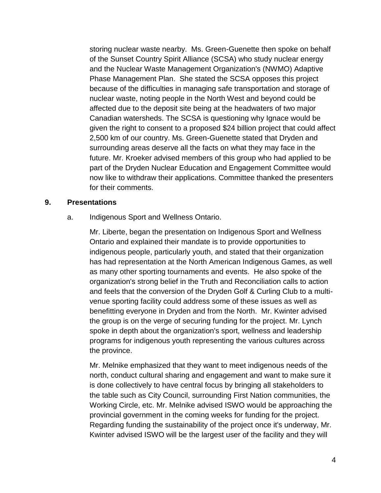storing nuclear waste nearby. Ms. Green-Guenette then spoke on behalf of the Sunset Country Spirit Alliance (SCSA) who study nuclear energy and the Nuclear Waste Management Organization's (NWMO) Adaptive Phase Management Plan. She stated the SCSA opposes this project because of the difficulties in managing safe transportation and storage of nuclear waste, noting people in the North West and beyond could be affected due to the deposit site being at the headwaters of two major Canadian watersheds. The SCSA is questioning why Ignace would be given the right to consent to a proposed \$24 billion project that could affect 2,500 km of our country. Ms. Green-Guenette stated that Dryden and surrounding areas deserve all the facts on what they may face in the future. Mr. Kroeker advised members of this group who had applied to be part of the Dryden Nuclear Education and Engagement Committee would now like to withdraw their applications. Committee thanked the presenters for their comments.

#### **9. Presentations**

a. Indigenous Sport and Wellness Ontario.

Mr. Liberte, began the presentation on Indigenous Sport and Wellness Ontario and explained their mandate is to provide opportunities to indigenous people, particularly youth, and stated that their organization has had representation at the North American Indigenous Games, as well as many other sporting tournaments and events. He also spoke of the organization's strong belief in the Truth and Reconciliation calls to action and feels that the conversion of the Dryden Golf & Curling Club to a multivenue sporting facility could address some of these issues as well as benefitting everyone in Dryden and from the North. Mr. Kwinter advised the group is on the verge of securing funding for the project. Mr. Lynch spoke in depth about the organization's sport, wellness and leadership programs for indigenous youth representing the various cultures across the province.

Mr. Melnike emphasized that they want to meet indigenous needs of the north, conduct cultural sharing and engagement and want to make sure it is done collectively to have central focus by bringing all stakeholders to the table such as City Council, surrounding First Nation communities, the Working Circle, etc. Mr. Melnike advised ISWO would be approaching the provincial government in the coming weeks for funding for the project. Regarding funding the sustainability of the project once it's underway, Mr. Kwinter advised ISWO will be the largest user of the facility and they will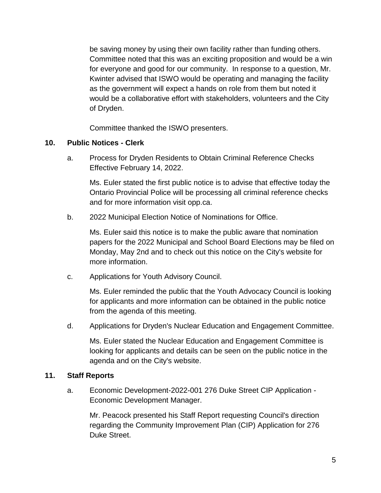be saving money by using their own facility rather than funding others. Committee noted that this was an exciting proposition and would be a win for everyone and good for our community. In response to a question, Mr. Kwinter advised that ISWO would be operating and managing the facility as the government will expect a hands on role from them but noted it would be a collaborative effort with stakeholders, volunteers and the City of Dryden.

Committee thanked the ISWO presenters.

#### **10. Public Notices - Clerk**

a. Process for Dryden Residents to Obtain Criminal Reference Checks Effective February 14, 2022.

Ms. Euler stated the first public notice is to advise that effective today the Ontario Provincial Police will be processing all criminal reference checks and for more information visit opp.ca.

b. 2022 Municipal Election Notice of Nominations for Office.

Ms. Euler said this notice is to make the public aware that nomination papers for the 2022 Municipal and School Board Elections may be filed on Monday, May 2nd and to check out this notice on the City's website for more information.

c. Applications for Youth Advisory Council.

Ms. Euler reminded the public that the Youth Advocacy Council is looking for applicants and more information can be obtained in the public notice from the agenda of this meeting.

d. Applications for Dryden's Nuclear Education and Engagement Committee.

Ms. Euler stated the Nuclear Education and Engagement Committee is looking for applicants and details can be seen on the public notice in the agenda and on the City's website.

#### **11. Staff Reports**

a. Economic Development-2022-001 276 Duke Street CIP Application - Economic Development Manager.

Mr. Peacock presented his Staff Report requesting Council's direction regarding the Community Improvement Plan (CIP) Application for 276 Duke Street.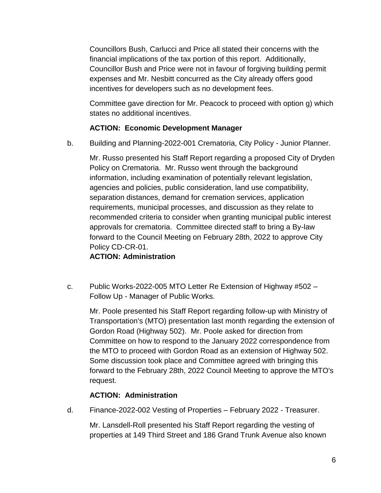Councillors Bush, Carlucci and Price all stated their concerns with the financial implications of the tax portion of this report. Additionally, Councillor Bush and Price were not in favour of forgiving building permit expenses and Mr. Nesbitt concurred as the City already offers good incentives for developers such as no development fees.

Committee gave direction for Mr. Peacock to proceed with option g) which states no additional incentives.

### **ACTION: Economic Development Manager**

b. Building and Planning-2022-001 Crematoria, City Policy - Junior Planner.

Mr. Russo presented his Staff Report regarding a proposed City of Dryden Policy on Crematoria. Mr. Russo went through the background information, including examination of potentially relevant legislation, agencies and policies, public consideration, land use compatibility, separation distances, demand for cremation services, application requirements, municipal processes, and discussion as they relate to recommended criteria to consider when granting municipal public interest approvals for crematoria. Committee directed staff to bring a By-law forward to the Council Meeting on February 28th, 2022 to approve City Policy CD-CR-01.

# **ACTION: Administration**

c. Public Works-2022-005 MTO Letter Re Extension of Highway #502 – Follow Up - Manager of Public Works.

Mr. Poole presented his Staff Report regarding follow-up with Ministry of Transportation's (MTO) presentation last month regarding the extension of Gordon Road (Highway 502). Mr. Poole asked for direction from Committee on how to respond to the January 2022 correspondence from the MTO to proceed with Gordon Road as an extension of Highway 502. Some discussion took place and Committee agreed with bringing this forward to the February 28th, 2022 Council Meeting to approve the MTO's request.

# **ACTION: Administration**

d. Finance-2022-002 Vesting of Properties – February 2022 - Treasurer.

Mr. Lansdell-Roll presented his Staff Report regarding the vesting of properties at 149 Third Street and 186 Grand Trunk Avenue also known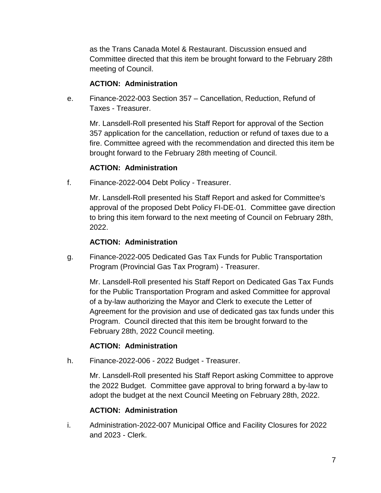as the Trans Canada Motel & Restaurant. Discussion ensued and Committee directed that this item be brought forward to the February 28th meeting of Council.

#### **ACTION: Administration**

e. Finance-2022-003 Section 357 – Cancellation, Reduction, Refund of Taxes - Treasurer.

Mr. Lansdell-Roll presented his Staff Report for approval of the Section 357 application for the cancellation, reduction or refund of taxes due to a fire. Committee agreed with the recommendation and directed this item be brought forward to the February 28th meeting of Council.

# **ACTION: Administration**

f. Finance-2022-004 Debt Policy - Treasurer.

Mr. Lansdell-Roll presented his Staff Report and asked for Committee's approval of the proposed Debt Policy FI-DE-01. Committee gave direction to bring this item forward to the next meeting of Council on February 28th, 2022.

### **ACTION: Administration**

g. Finance-2022-005 Dedicated Gas Tax Funds for Public Transportation Program (Provincial Gas Tax Program) - Treasurer.

Mr. Lansdell-Roll presented his Staff Report on Dedicated Gas Tax Funds for the Public Transportation Program and asked Committee for approval of a by-law authorizing the Mayor and Clerk to execute the Letter of Agreement for the provision and use of dedicated gas tax funds under this Program. Council directed that this item be brought forward to the February 28th, 2022 Council meeting.

# **ACTION: Administration**

h. Finance-2022-006 - 2022 Budget - Treasurer.

Mr. Lansdell-Roll presented his Staff Report asking Committee to approve the 2022 Budget. Committee gave approval to bring forward a by-law to adopt the budget at the next Council Meeting on February 28th, 2022.

# **ACTION: Administration**

i. Administration-2022-007 Municipal Office and Facility Closures for 2022 and 2023 - Clerk.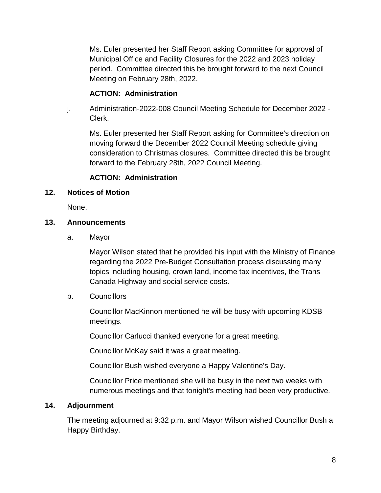Ms. Euler presented her Staff Report asking Committee for approval of Municipal Office and Facility Closures for the 2022 and 2023 holiday period. Committee directed this be brought forward to the next Council Meeting on February 28th, 2022.

#### **ACTION: Administration**

j. Administration-2022-008 Council Meeting Schedule for December 2022 - Clerk.

Ms. Euler presented her Staff Report asking for Committee's direction on moving forward the December 2022 Council Meeting schedule giving consideration to Christmas closures. Committee directed this be brought forward to the February 28th, 2022 Council Meeting.

#### **ACTION: Administration**

#### **12. Notices of Motion**

None.

#### **13. Announcements**

a. Mayor

Mayor Wilson stated that he provided his input with the Ministry of Finance regarding the 2022 Pre-Budget Consultation process discussing many topics including housing, crown land, income tax incentives, the Trans Canada Highway and social service costs.

#### b. Councillors

Councillor MacKinnon mentioned he will be busy with upcoming KDSB meetings.

Councillor Carlucci thanked everyone for a great meeting.

Councillor McKay said it was a great meeting.

Councillor Bush wished everyone a Happy Valentine's Day.

Councillor Price mentioned she will be busy in the next two weeks with numerous meetings and that tonight's meeting had been very productive.

#### **14. Adjournment**

The meeting adjourned at 9:32 p.m. and Mayor Wilson wished Councillor Bush a Happy Birthday.